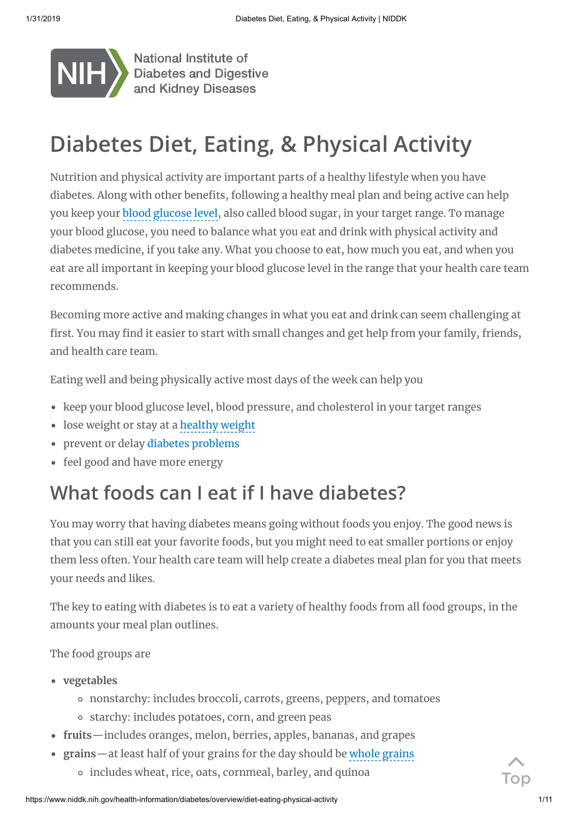

**National Institute of Diabetes and Digestive<br>and Kidney Diseases** 

# **Diabetes Diet, Eating, & Physical Activity**

Nutrition and physical activity are important parts of a healthy lifestyle when you have diabetes. Along with other benefits, following a healthy meal plan and being active can help you keep your [blood glucose](https://www.niddk.nih.gov/Dictionary/B/blood-glucose-level) level, also called blood sugar, in your target range. To manage your blood glucose, you need to balance what you eat and drink with physical activity and diabetes medicine, if you take any. What you choose to eat, how much you eat, and when you eat are all important in keeping your blood glucose level in the range that your health care team recommends.

Becoming more active and making changes in what you eat and drink can seem challenging at first. You may find it easier to start with small changes and get help from your family, friends, and health care team.

Eating well and being physically active most days of the week can help you

- keep your blood glucose level, blood pressure, and cholesterol in your target ranges
- lose weight or stay at a [healthy](https://www.niddk.nih.gov/Dictionary/H/healthy-weight) weight
- prevent or delay diabetes [problems](https://www.niddk.nih.gov/health-information/diabetes/overview/preventing-problems)
- feel good and have more energy

## **What foods can I eat if I have diabetes?**

You may worry that having diabetes means going without foods you enjoy. The good news is that you can still eat your favorite foods, but you might need to eat smaller portions or enjoy them less often. Your health care team will help create a diabetes meal plan for you that meets your needs and likes.

The key to eating with diabetes is to eat a variety of healthy foods from all food groups, in the amounts your meal plan outlines.

The food groups are

- **vegetables**
	- nonstarchy: includes broccoli, carrots, greens, peppers, and tomatoes
	- starchy: includes potatoes, corn, and green peas
- **fruits**—includes oranges, melon, berries, apples, bananas, and grapes
- **grains**—at least half of your grains for the day should be whole [grains](https://www.niddk.nih.gov/Dictionary/W/whole-grains)
	- includes wheat, rice, oats, cornmeal, barley, and quinoa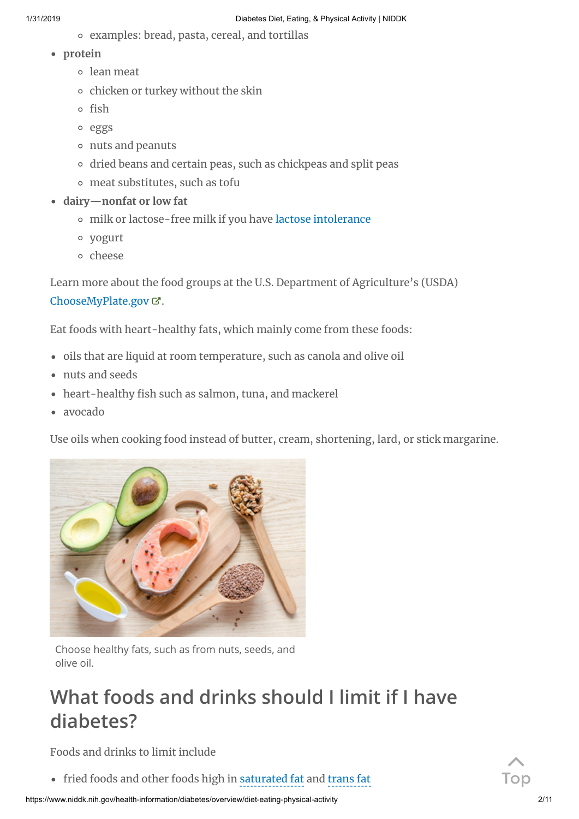- examples: bread, pasta, cereal, and tortillas
- **protein**
	- lean meat
	- o chicken or turkey without the skin
	- <sup>o</sup> fish
	- eggs
	- nuts and peanuts
	- o dried beans and certain peas, such as chickpeas and split peas
	- meat substitutes, such as tofu
- **dairy—nonfat or low fat**
	- milk or lactose-free milk if you have lactose [intolerance](https://www.niddk.nih.gov/health-information/digestive-diseases/lactose-intolerance)
	- yogurt
	- cheese

Learn more about the food groups at the U.S. Department of Agriculture's (USDA) [ChooseMyPlate.gov](http://choosemyplate.gov/) で.

Eat foods with heart-healthy fats, which mainly come from these foods:

- oils that are liquid at room temperature, such as canola and olive oil
- nuts and seeds
- heart-healthy fish such as salmon, tuna, and mackerel
- avocado

Use oils when cooking food instead of butter, cream, shortening, lard, or stick margarine.



Choose healthy fats, such as from nuts, seeds, and olive oil.

## **What foods and drinks should I limit if I have diabetes?**

Foods and drinks to limit include

• fried foods and other foods high in [saturated fat](https://www.niddk.nih.gov/Dictionary/S/saturated-fat) and [trans](https://www.niddk.nih.gov/Dictionary/T/trans-fat) fat

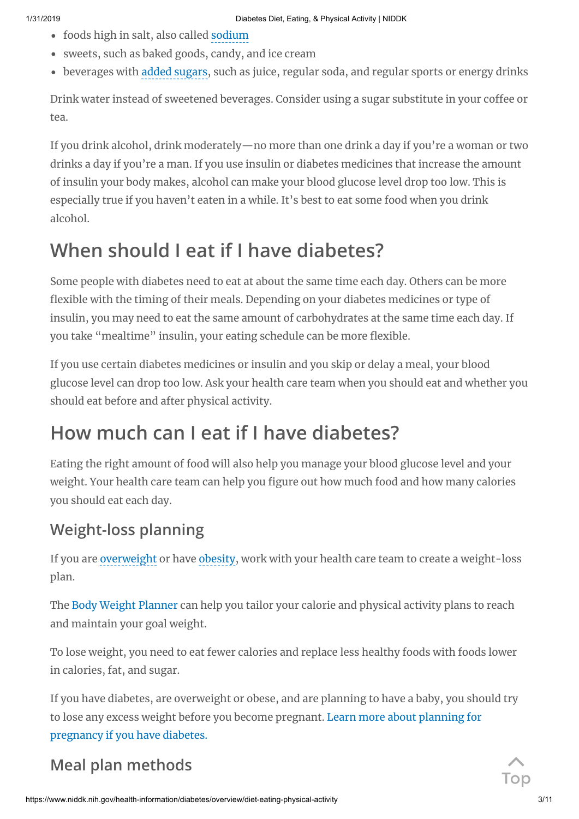- foods high in salt, also called [sodium](https://www.niddk.nih.gov/Dictionary/S/sodium)
- sweets, such as baked goods, candy, and ice cream
- beverages with [added sugars,](https://www.niddk.nih.gov/Dictionary/A/added-sugars) such as juice, regular soda, and regular sports or energy drinks

Drink water instead of sweetened beverages. Consider using a sugar substitute in your coffee or tea.

If you drink alcohol, drink moderately—no more than one drink a day if you're a woman or two drinks a day if you're a man. If you use insulin or diabetes medicines that increase the amount of insulin your body makes, alcohol can make your blood glucose level drop too low. This is especially true if you haven't eaten in a while. It's best to eat some food when you drink alcohol.

### **When should I eat if I have diabetes?**

Some people with diabetes need to eat at about the same time each day. Others can be more flexible with the timing of their meals. Depending on your diabetes medicines or type of insulin, you may need to eat the same amount of carbohydrates at the same time each day. If you take "mealtime" insulin, your eating schedule can be more flexible.

If you use certain diabetes medicines or insulin and you skip or delay a meal, your blood glucose level can drop too low. Ask your health care team when you should eat and whether you should eat before and after physical activity.

### **How much can I eat if I have diabetes?**

Eating the right amount of food will also help you manage your blood glucose level and your weight. Your health care team can help you figure out how much food and how many calories you should eat each day.

### **Weight-loss planning**

If you are [overweight](https://www.niddk.nih.gov/Dictionary/O/overweight) or have [obesity](https://www.niddk.nih.gov/Dictionary/O/obesity), work with your health care team to create a weight-loss plan.

The Body Weight [Planner](https://www.niddk.nih.gov/health-information/weight-management/body-weight-planner) can help you tailor your calorie and physical activity plans to reach and maintain your goal weight.

To lose weight, you need to eat fewer calories and replace less healthy foods with foods lower in calories, fat, and sugar.

If you have diabetes, are overweight or obese, and are planning to have a baby, you should try to lose any excess weight before you become pregnant. Learn more about planning for [pregnancy](https://www.niddk.nih.gov/health-information/diabetes/diabetes-pregnancy) if you have diabetes.

# **Meal plan methods**

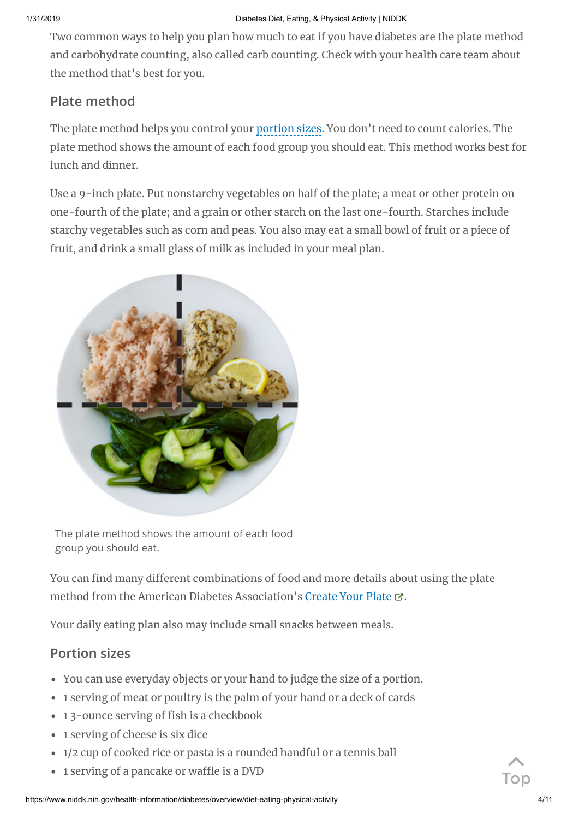Two common ways to help you plan how much to eat if you have diabetes are the plate method and carbohydrate counting, also called carb counting. Check with your health care team about the method that's best for you.

#### **Plate method**

The plate method helps you control your [portion](https://www.niddk.nih.gov/Dictionary/P/portion-size) sizes. You don't need to count calories. The plate method shows the amount of each food group you should eat. This method works best for lunch and dinner.

Use a 9-inch plate. Put nonstarchy vegetables on half of the plate; a meat or other protein on one-fourth of the plate; and a grain or other starch on the last one-fourth. Starches include starchy vegetables such as corn and peas. You also may eat a small bowl of fruit or a piece of fruit, and drink a small glass of milk as included in your meal plan.



The plate method shows the amount of each food group you should eat.

You can find many different combinations of food and more details about using the plate method from the American Diabetes Association's [Create](http://www.diabetes.org/food-and-fitness/food/planning-meals/create-your-plate) Your Plate  $\varPhi.$ 

Your daily eating plan also may include small snacks between meals.

#### **Portion sizes**

- You can use everyday objects or your hand to judge the size of a portion.
- 1 serving of meat or poultry is the palm of your hand or a deck of cards
- $\cdot$  13-ounce serving of fish is a checkbook
- 1 serving of cheese is six dice
- 1/2 cup of cooked rice or pasta is a rounded handful or a tennis ball
- 1 serving of a pancake or waffle is a DVD

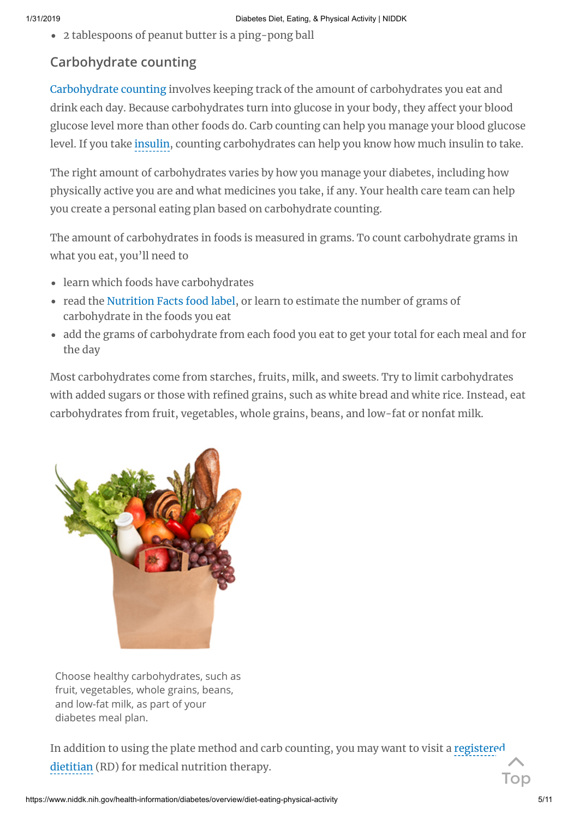2 tablespoons of peanut butter is a ping-pong ball

#### **Carbohydrate counting**

[Carbohydrate](https://www.niddk.nih.gov/health-information/diabetes/overview/diet-eating-physical-activity/carbohydrate-counting) counting involves keeping track of the amount of carbohydrates you eat and drink each day. Because carbohydrates turn into glucose in your body, they affect your blood glucose level more than other foods do. Carb counting can help you manage your blood glucose level. If you take [insulin,](https://www.niddk.nih.gov/Dictionary/I/insulin) counting carbohydrates can help you know how much insulin to take.

The right amount of carbohydrates varies by how you manage your diabetes, including how physically active you are and what medicines you take, if any. Your health care team can help you create a personal eating plan based on carbohydrate counting.

The amount of carbohydrates in foods is measured in grams. To count carbohydrate grams in what you eat, you'll need to

- learn which foods have carbohydrates
- read the Nutrition Facts [food label](https://www.niddk.nih.gov/health-information/weight-management/just-enough-food-portions#d), or learn to estimate the number of grams of carbohydrate in the foods you eat
- add the grams of carbohydrate from each food you eat to get your total for each meal and for the day

Most carbohydrates come from starches, fruits, milk, and sweets. Try to limit carbohydrates with added sugars or those with refined grains, such as white bread and white rice. Instead, eat carbohydrates from fruit, vegetables, whole grains, beans, and low-fat or nonfat milk.



Choose healthy carbohydrates, such as fruit, vegetables, whole grains, beans, and low-fat milk, as part of your diabetes meal plan.

In addition to using the plate method and carb counting, you may want to visit a [registered](https://www.niddk.nih.gov/Dictionary/R/Registered-Dietitian) dietitian (RD) for medical nutrition therapy. Top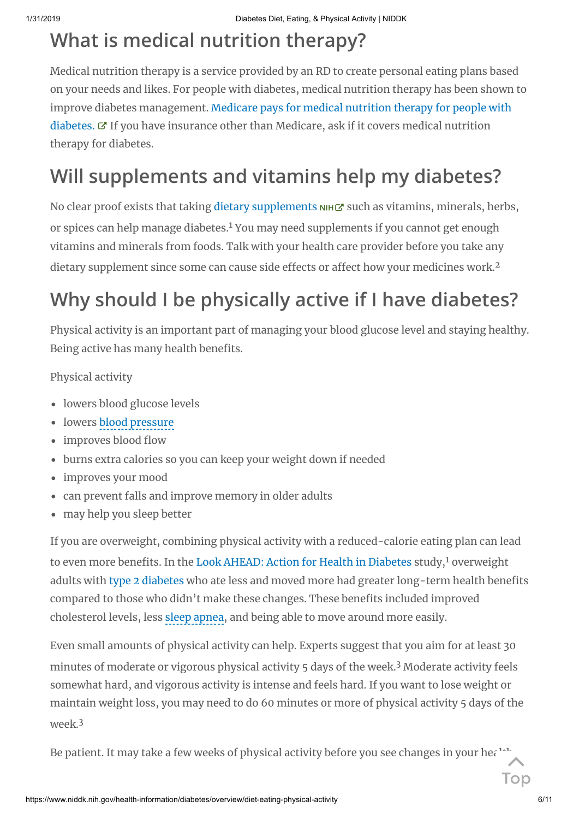## **What is medical nutrition therapy?**

Medical nutrition therapy is a service provided by an RD to create personal eating plans based on your needs and likes. For people with diabetes, medical nutrition therapy has been shown to improve diabetes [management.](https://www.medicare.gov/coverage/nutrition-therapy-services.html) Medicare pays for medical nutrition therapy for people with diabetes.  $\mathbb C^{\bullet}$  If you have insurance other than Medicare, ask if it covers medical nutrition therapy for diabetes.

## **Will supplements and vitamins help my diabetes?**

No clear proof exists that taking dietary [supplements](https://nccih.nih.gov/health/diabetes/supplements)  $\mathsf{NHE}$  such as vitamins, minerals, herbs, or spices can help manage diabetes.<sup>1</sup> You may need supplements if you cannot get enough vitamins and minerals from foods. Talk with your health care provider before you take any dietary supplement since some can cause side effects or affect how your medicines work.<sup>2</sup>

## **Why should I be physically active if I have diabetes?**

Physical activity is an important part of managing your blood glucose level and staying healthy. Being active has many health benefits.

Physical activity

- lowers blood glucose levels
- lowers [blood pressure](https://www.niddk.nih.gov/Dictionary/B/blood-pressure)
- $\bullet$  improves blood flow
- burns extra calories so you can keep your weight down if needed
- improves your mood
- can prevent falls and improve memory in older adults
- may help you sleep better

If you are overweight, combining physical activity with a reduced-calorie eating plan can lead to even more benefits. In the Look AHEAD: Action for Health in [Diabetes](https://www.niddk.nih.gov/news/for-reporters/look-ahead) study,<sup>1</sup> overweight adults with type 2 [diabetes](https://www.niddk.nih.gov/health-information/diabetes/overview/what-is-diabetes/type-2-diabetes) who ate less and moved more had greater long-term health benefits compared to those who didn't make these changes. These benefits included improved cholesterol levels, less sleep [apnea](https://www.niddk.nih.gov/Dictionary/S/sleep-apnea), and being able to move around more easily.

Even small amounts of physical activity can help. Experts suggest that you aim for at least 30 minutes of moderate or vigorous physical activity 5 days of the week. <sup>3</sup> Moderate activity feels somewhat hard, and vigorous activity is intense and feels hard. If you want to lose weight or maintain weight loss, you may need to do 60 minutes or more of physical activity 5 days of the week. 3

Be patient. It may take a few weeks of physical activity before you see changes in your health

Top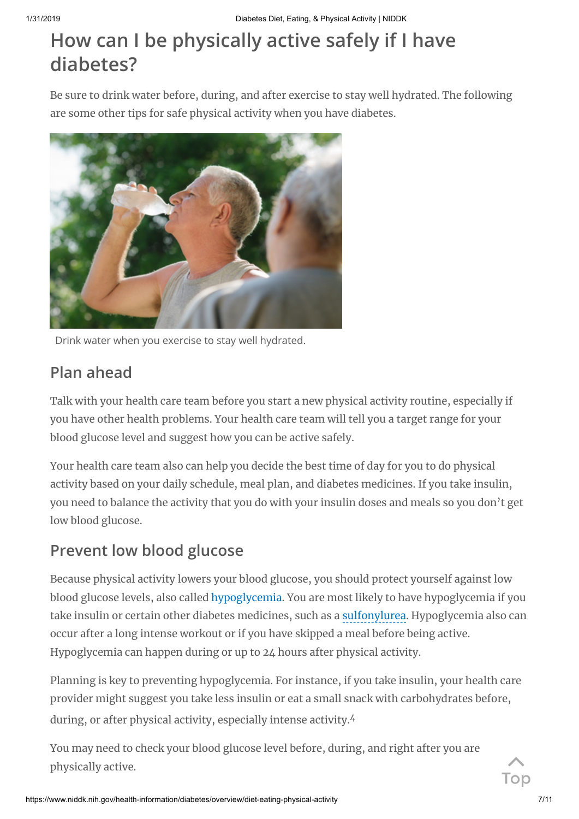## **How can I be physically active safely if I have diabetes?**

Be sure to drink water before, during, and after exercise to stay well hydrated. The following are some other tips for safe physical activity when you have diabetes.



Drink water when you exercise to stay well hydrated.

### **Plan ahead**

Talk with your health care team before you start a new physical activity routine, especially if you have other health problems. Your health care team will tell you a target range for your blood glucose level and suggest how you can be active safely.

Your health care team also can help you decide the best time of day for you to do physical activity based on your daily schedule, meal plan, and diabetes medicines. If you take insulin, you need to balance the activity that you do with your insulin doses and meals so you don't get low blood glucose.

### **Prevent low blood glucose**

Because physical activity lowers your blood glucose, you should protect yourself against low blood glucose levels, also called [hypoglycemia.](https://www.niddk.nih.gov/health-information/diabetes/overview/preventing-problems/low-blood-glucose-hypoglycemia) You are most likely to have hypoglycemia if you take insulin or certain other diabetes medicines, such as a [sulfonylurea.](https://www.niddk.nih.gov/Dictionary/S/sulfonylurea) Hypoglycemia also can occur after a long intense workout or if you have skipped a meal before being active. Hypoglycemia can happen during or up to 24 hours after physical activity.

Planning is key to preventing hypoglycemia. For instance, if you take insulin, your health care provider might suggest you take less insulin or eat a small snack with carbohydrates before, during, or after physical activity, especially intense activity.<sup>4</sup>

You may need to check your blood glucose level before, during, and right after you are physically active.

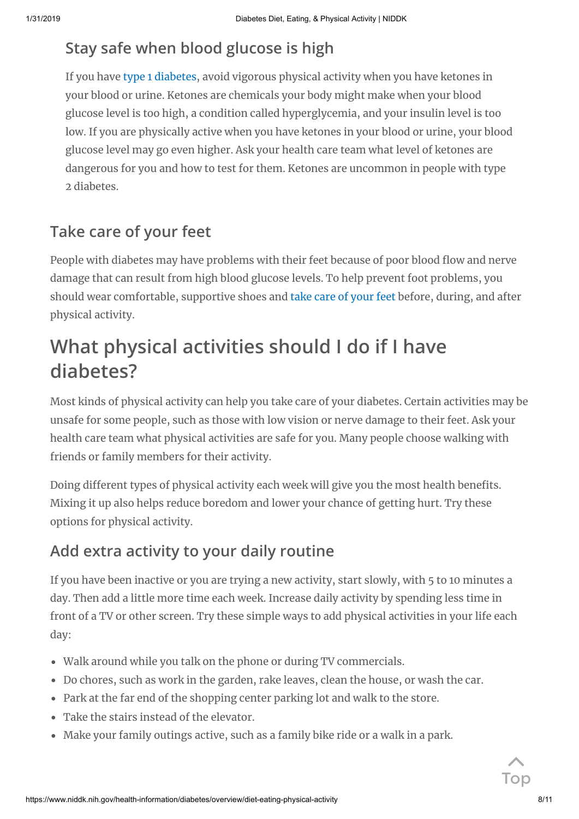### **Stay safe when blood glucose is high**

If you have type 1 [diabetes](https://www.niddk.nih.gov/health-information/diabetes/overview/what-is-diabetes/type-1-diabetes), avoid vigorous physical activity when you have ketones in your blood or urine. Ketones are chemicals your body might make when your blood glucose level is too high, a condition called hyperglycemia, and your insulin level is too low. If you are physically active when you have ketones in your blood or urine, your blood glucose level may go even higher. Ask your health care team what level of ketones are dangerous for you and how to test for them. Ketones are uncommon in people with type 2 diabetes.

### **Take care of your feet**

People with diabetes may have problems with their feet because of poor blood flow and nerve damage that can result from high blood glucose levels. To help prevent foot problems, you should wear comfortable, supportive shoes and take care of [your](https://www.niddk.nih.gov/health-information/diabetes/overview/preventing-problems/foot-problems) feet before, during, and after physical activity.

### **What physical activities should I do if I have diabetes?**

Most kinds of physical activity can help you take care of your diabetes. Certain activities may be unsafe for some people, such as those with low vision or nerve damage to their feet. Ask your health care team what physical activities are safe for you. Many people choose walking with friends or family members for their activity.

Doing different types of physical activity each week will give you the most health benefits. Mixing it up also helps reduce boredom and lower your chance of getting hurt. Try these options for physical activity.

### **Add extra activity to your daily routine**

If you have been inactive or you are trying a new activity, start slowly, with 5 to 10 minutes a day. Then add a little more time each week. Increase daily activity by spending less time in front of a TV or other screen. Try these simple ways to add physical activities in your life each day:

- Walk around while you talk on the phone or during TV commercials.
- Do chores, such as work in the garden, rake leaves, clean the house, or wash the car.
- Park at the far end of the shopping center parking lot and walk to the store.
- Take the stairs instead of the elevator.
- Make your family outings active, such as a family bike ride or a walk in a park.

Top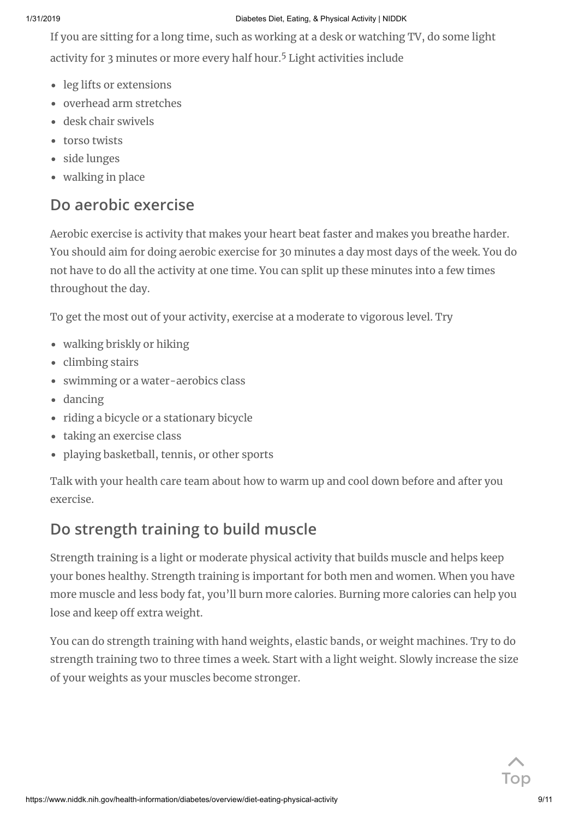#### 1/31/2019 Diabetes Diet, Eating, & Physical Activity | NIDDK

If you are sitting for a long time, such as working at a desk or watching TV, do some light activity for 3 minutes or more every half hour. <sup>5</sup> Light activities include

- leg lifts or extensions
- overhead arm stretches
- desk chair swivels
- torso twists
- side lunges
- walking in place

#### **Do aerobic exercise**

Aerobic exercise is activity that makes your heart beat faster and makes you breathe harder. You should aim for doing aerobic exercise for 30 minutes a day most days of the week. You do not have to do all the activity at one time. You can split up these minutes into a few times throughout the day.

To get the most out of your activity, exercise at a moderate to vigorous level. Try

- walking briskly or hiking
- climbing stairs
- swimming or a water-aerobics class
- dancing
- riding a bicycle or a stationary bicycle
- taking an exercise class
- playing basketball, tennis, or other sports

Talk with your health care team about how to warm up and cool down before and after you exercise.

#### **Do strength training to build muscle**

Strength training is a light or moderate physical activity that builds muscle and helps keep your bones healthy. Strength training is important for both men and women. When you have more muscle and less body fat, you'll burn more calories. Burning more calories can help you lose and keep off extra weight.

You can do strength training with hand weights, elastic bands, or weight machines. Try to do strength training two to three times a week. Start with a light weight. Slowly increase the size of your weights as your muscles become stronger.

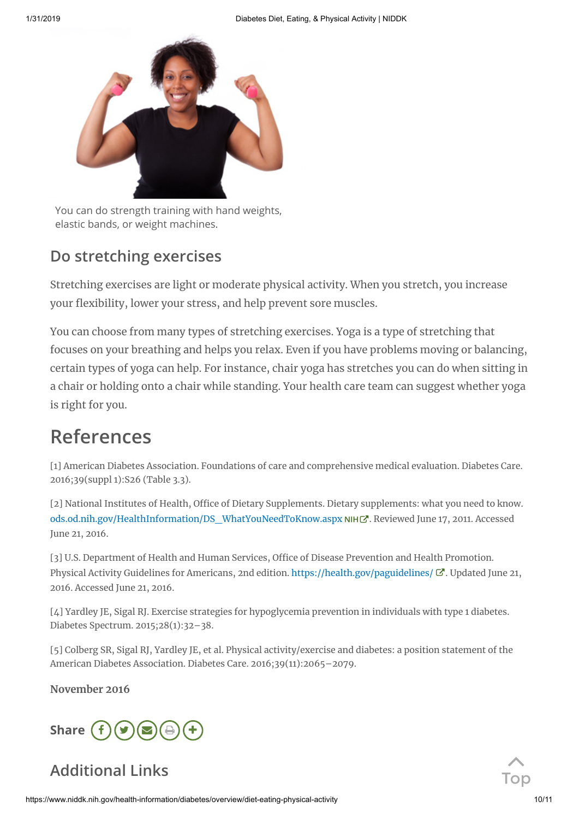

You can do strength training with hand weights, elastic bands, or weight machines.

#### **Do stretching exercises**

Stretching exercises are light or moderate physical activity. When you stretch, you increase your flexibility, lower your stress, and help prevent sore muscles.

You can choose from many types of stretching exercises. Yoga is a type of stretching that focuses on your breathing and helps you relax. Even if you have problems moving or balancing, certain types of yoga can help. For instance, chair yoga has stretches you can do when sitting in a chair or holding onto a chair while standing. Your health care team can suggest whether yoga is right for you.

### **References**

[1] American Diabetes Association. Foundations of care and comprehensive medical evaluation. Diabetes Care. 2016;39(suppl 1):S26 (Table 3.3).

[2] National Institutes of Health, Office of Dietary Supplements. Dietary supplements: what you need to know. [ods.od.nih.gov/HealthInformation/DS\\_WhatYouNeedToKnow.aspx](https://ods.od.nih.gov/HealthInformation/DS_WhatYouNeedToKnow.aspx) NIHC. Reviewed June 17, 2011. Accessed June 21, 2016.

[3] U.S. Department of Health and Human Services, Office of Disease Prevention and Health Promotion. Physical Activity Guidelines for Americans, 2nd edition. <https://health.gov/paguidelines/> G. Updated June 21, 2016. Accessed June 21, 2016.

[4] Yardley JE, Sigal RJ. Exercise strategies for hypoglycemia prevention in individuals with type 1 diabetes. Diabetes Spectrum. 2015;28(1):32–38.

[5] Colberg SR, Sigal RJ, Yardley JE, et al. Physical activity/exercise and diabetes: a position statement of the American Diabetes Association. Diabetes Care. 2016;39(11):2065–2079.

**November 2016**



**Additional Links**